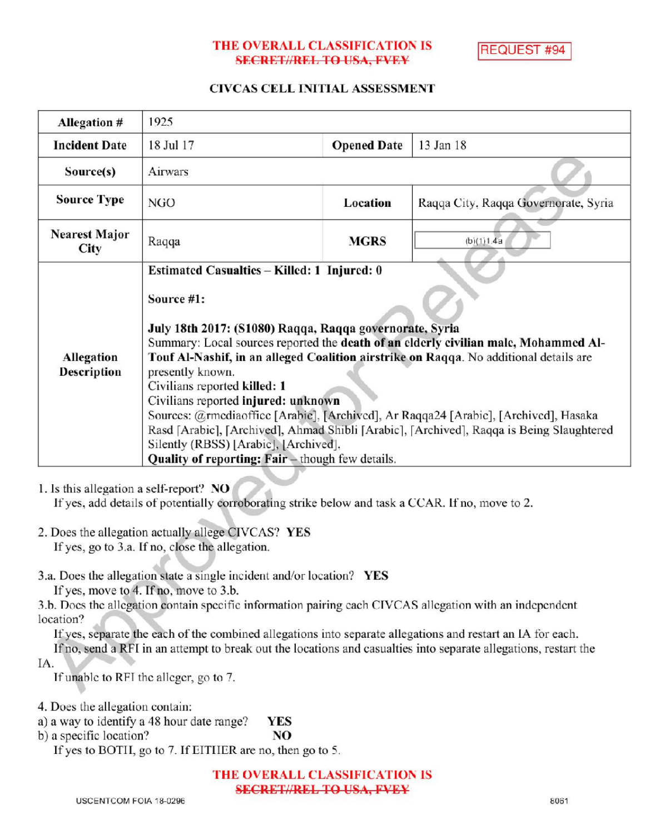# THE OVERALL CLASSIFICATION IS **SECRET//REL TO USA, FVEY**

**REQUEST #94** 

### CIVCAS CELL INITIAL ASSESSMENT

| <b>Allegation #</b>          | 1925                                                                                                                                                                                                                                                                                                                                                                                                                                                                                                                                                                                                                                                                             |                    |                                      |  |
|------------------------------|----------------------------------------------------------------------------------------------------------------------------------------------------------------------------------------------------------------------------------------------------------------------------------------------------------------------------------------------------------------------------------------------------------------------------------------------------------------------------------------------------------------------------------------------------------------------------------------------------------------------------------------------------------------------------------|--------------------|--------------------------------------|--|
| <b>Incident Date</b>         | 18 Jul 17                                                                                                                                                                                                                                                                                                                                                                                                                                                                                                                                                                                                                                                                        | <b>Opened Date</b> | 13 Jan 18                            |  |
| Source(s)                    | Airwars                                                                                                                                                                                                                                                                                                                                                                                                                                                                                                                                                                                                                                                                          |                    |                                      |  |
| <b>Source Type</b>           | NGO                                                                                                                                                                                                                                                                                                                                                                                                                                                                                                                                                                                                                                                                              | Location           | Raqqa City, Raqqa Governorate, Syria |  |
| <b>Nearest Major</b><br>City | Raqqa                                                                                                                                                                                                                                                                                                                                                                                                                                                                                                                                                                                                                                                                            | <b>MGRS</b>        | (b)(1)1.4a                           |  |
| Allegation<br>Description    | Estimated Casualties – Killed: 1 Injured: 0<br>Source #1:<br>July 18th 2017: (S1080) Raqqa, Raqqa governorate, Syria<br>Summary: Local sources reported the death of an elderly civilian male, Mohammed Al-<br>Touf Al-Nashif, in an alleged Coalition airstrike on Raqqa. No additional details are<br>presently known.<br>Civilians reported killed: 1<br>Civilians reported injured: unknown<br>Sources: @rmediaoffice [Arabie], [Archived], Ar Raqqa24 [Arabie], [Archived], Hasaka<br>Rasd [Arabic], [Archived], Ahmad Shibli [Arabic], [Archived], Raqqa is Being Slaughtered<br>Silently (RBSS) [Arabic], [Archived].<br>Quality of reporting: Fair - though few details. |                    |                                      |  |

1. Is this allegation a self-report?  $NO$ 

If yes, add details of potentially corroborating strike below and task a CCAR. If no, move to 2.

- 2. Does the allegation actually allege CIVCAS? YES If yes, go to 3.a. If no, close the allegation.
- 3.a. Does the allegation state a single incident and/or location? YES

If yes, move to 4. If no, move to  $3.b$ .

3.b. Does the allegation contain specific information pairing each CIVCAS allegation with an independent location?

Ifyes, separate the each of the combined allegations into separate allegations and restart an IA for each.

Ifno, send <sup>a</sup> RFI in an attempt to break out the locations and casualties into separate allegations, restart the IA

If unable to RFI the alleger, go to 7.

4. Does the allegation contain:

- a) a way to identify a 48 hour date range? **YES**
- b) a specific location? NO

If yes to BOTH, go to 7. If EITHER are no, then go to 5.

THE OVERALL CLASSIFICATIONIS SECRET//REL TO USA, FVEY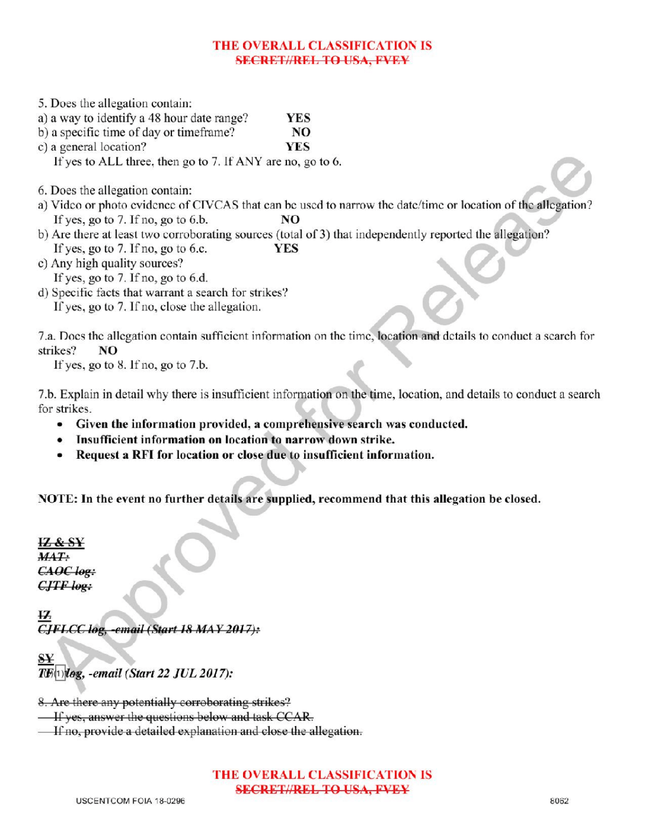# THE OVERALL CLASSIFICATION IS **SECRET//REL TO USA, FVEY**

| 5. Does the allegation contain:                            |            |                                                                                                                   |
|------------------------------------------------------------|------------|-------------------------------------------------------------------------------------------------------------------|
| a) a way to identify a 48 hour date range?                 | <b>YES</b> |                                                                                                                   |
| b) a specific time of day or timeframe?                    | NO         |                                                                                                                   |
| c) a general location?                                     | YES        |                                                                                                                   |
| If yes to ALL three, then go to 7. If ANY are no, go to 6. |            |                                                                                                                   |
| 6. Does the allegation contain:                            |            |                                                                                                                   |
|                                                            |            | a) Video or photo evidence of CIVCAS that can be used to narrow the date/time or location of the allegation?      |
| If yes, go to 7. If no, go to 6.b.                         | NO         |                                                                                                                   |
|                                                            |            | b) Are there at least two corroborating sources (total of 3) that independently reported the allegation?          |
| If yes, go to 7. If no, go to 6.c.                         | <b>YES</b> |                                                                                                                   |
| c) Any high quality sources?                               |            |                                                                                                                   |
| If yes, go to 7. If no, go to 6.d.                         |            |                                                                                                                   |
| d) Specific facts that warrant a search for strikes?       |            |                                                                                                                   |
| If yes, go to 7. If no, close the allegation.              |            |                                                                                                                   |
|                                                            |            | 7.a. Does the allegation contain sufficient information on the time, location and details to conduct a search for |

strikes? NO

If yes, go to 8. If no, go to  $7.b.$ 

7.b. Explain in detail why there is insufficient information on the time, location, and details to conduct a search for strikes.

- Given the information provided, a comprehensive search was conducted.
- Insufficient information on location to narrow down strike.
- Request a RFI for location or close due to insufficient information.

NOTE: In the event no further details are supplied, recommend that this allegation be closed.

IZ & <sup>S</sup>  $MAT:$  $CAOC$  log:  $CJTF$  log:

 $\overline{12}$ CJFLCC log, -email (Start 18 MAY 2017):

 $_{\rm SY}$  $\overline{T}$ [1]  $\overline{log}$ , -email (Start 22 JUL 2017):

8. Are there any potentially corroborating strikes?

**If yes, answer the questions below and task CCAR.** 

If no, provide a detailed explanation and close the allegation.

# THE OVERALL CLASSIFICATION IS SECRET//REL TO USA, FVEY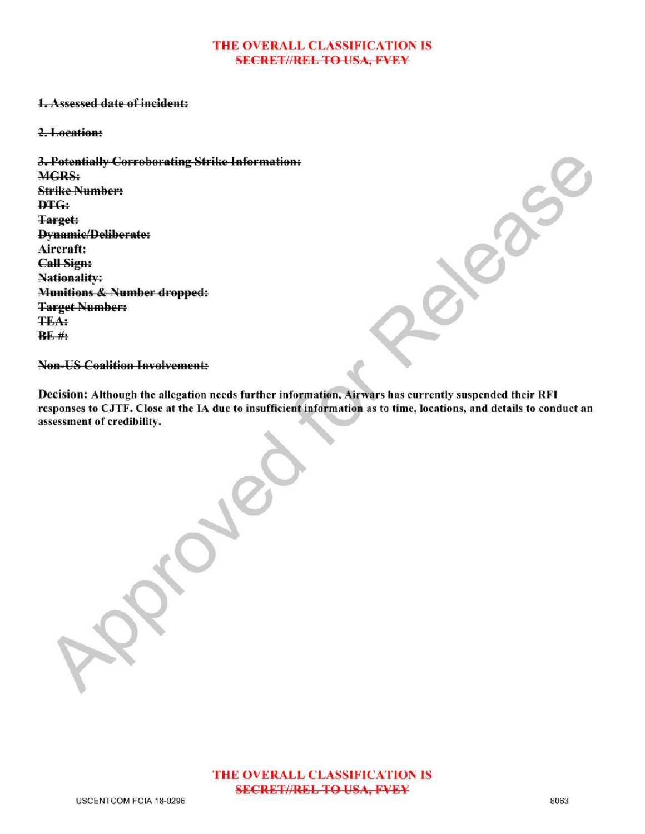### THE OVERALL CLASSIFICATION IS **SECRET//REL TO USA, FVEY**

### 1.Assessed date of incident:

#### 2.Location:

3.Potentially Corroborating Strike Information: MGRS: **Strike Number:** DTG: Target: Dynamic/Deliberate: Aircraft: Call Sign: Nationality Munitions & Number dropped: Target Number: TEA:  $BF#$ :

**Non-US Coalition Involvement:** 

Decision: Although the allegation needs further information, Airwars has currently suspended their RFI responses to CJTF. Close at the IA due to insufficient information as to time, locations, and details to conduct an assessment of credibility.

Approved